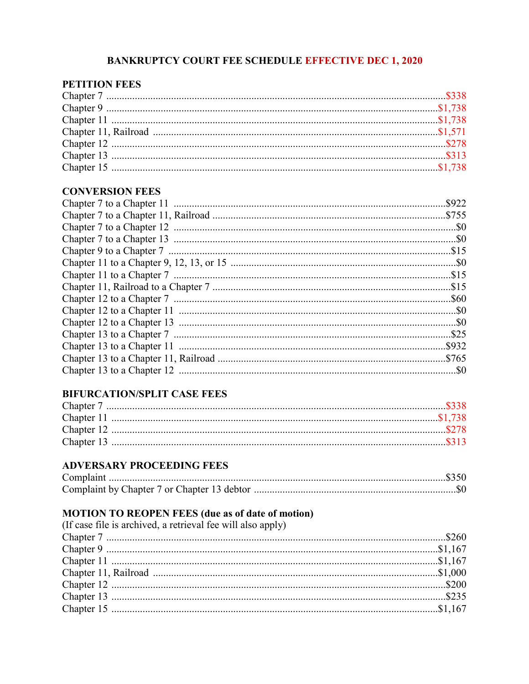# **BANKRUPTCY COURT FEE SCHEDULE EFFECTIVE DEC 1, 2020**

## **PETITION FEES**

#### **CONVERSION FEES**

## **BIFURCATION/SPLIT CASE FEES**

# **ADVERSARY PROCEEDING FEES**

# **MOTION TO REOPEN FEES (due as of date of motion)**<br>(If case file is archived, a retrieval fee will also apply)

| (If case file is archived, a retrieval fee will also apply) |  |
|-------------------------------------------------------------|--|
|                                                             |  |
|                                                             |  |
|                                                             |  |
|                                                             |  |
|                                                             |  |
|                                                             |  |
|                                                             |  |
|                                                             |  |